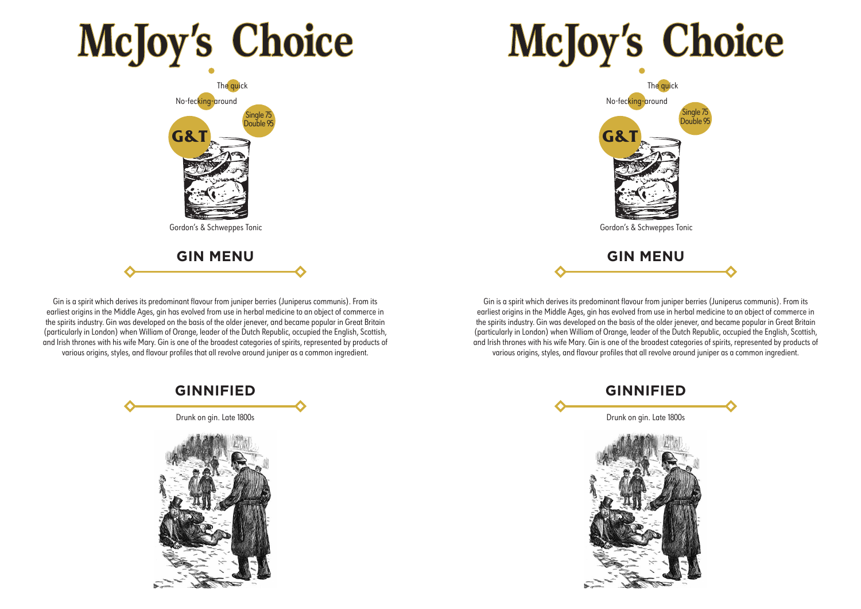## **McJoy's Choice**



Gin is a spirit which derives its predominant flavour from juniper berries (Juniperus communis). From its earliest origins in the Middle Ages, gin has evolved from use in herbal medicine to an object of commerce in the spirits industry. Gin was developed on the basis of the older jenever, and became popular in Great Britain (particularly in London) when William of Orange, leader of the Dutch Republic, occupied the English, Scottish, and Irish thrones with his wife Mary. Gin is one of the broadest categories of spirits, represented by products of various origins, styles, and flavour profiles that all revolve around juniper as a common ingredient.



# **McJoy's Choice**



Gin is a spirit which derives its predominant flavour from juniper berries (Juniperus communis). From its earliest origins in the Middle Ages, gin has evolved from use in herbal medicine to an object of commerce in the spirits industry. Gin was developed on the basis of the older jenever, and became popular in Great Britain (particularly in London) when William of Orange, leader of the Dutch Republic, occupied the English, Scottish, and Irish thrones with his wife Mary. Gin is one of the broadest categories of spirits, represented by products of various origins, styles, and flavour profiles that all revolve around juniper as a common ingredient.